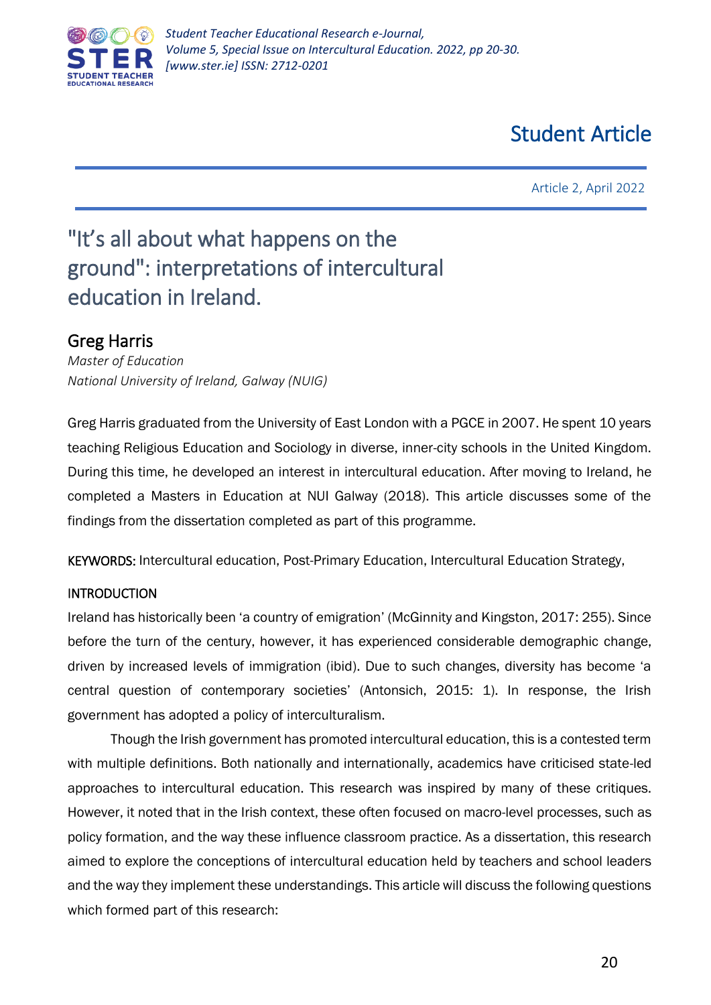

# Student Article

Article 2, April 2022

# "It's all about what happens on the ground": interpretations of intercultural education in Ireland.

## Greg Harris

*Master of Education National University of Ireland, Galway (NUIG)*

Greg Harris graduated from the University of East London with a PGCE in 2007. He spent 10 years teaching Religious Education and Sociology in diverse, inner-city schools in the United Kingdom. During this time, he developed an interest in intercultural education. After moving to Ireland, he completed a Masters in Education at NUI Galway (2018). This article discusses some of the findings from the dissertation completed as part of this programme.

KEYWORDS: Intercultural education, Post-Primary Education, Intercultural Education Strategy,

### INTRODUCTION

Ireland has historically been 'a country of emigration' (McGinnity and Kingston, 2017: 255). Since before the turn of the century, however, it has experienced considerable demographic change, driven by increased levels of immigration (ibid). Due to such changes, diversity has become 'a central question of contemporary societies' (Antonsich, 2015: 1). In response, the Irish government has adopted a policy of interculturalism.

Though the Irish government has promoted intercultural education, this is a contested term with multiple definitions. Both nationally and internationally, academics have criticised state-led approaches to intercultural education. This research was inspired by many of these critiques. However, it noted that in the Irish context, these often focused on macro-level processes, such as policy formation, and the way these influence classroom practice. As a dissertation, this research aimed to explore the conceptions of intercultural education held by teachers and school leaders and the way they implement these understandings. This article will discuss the following questions which formed part of this research: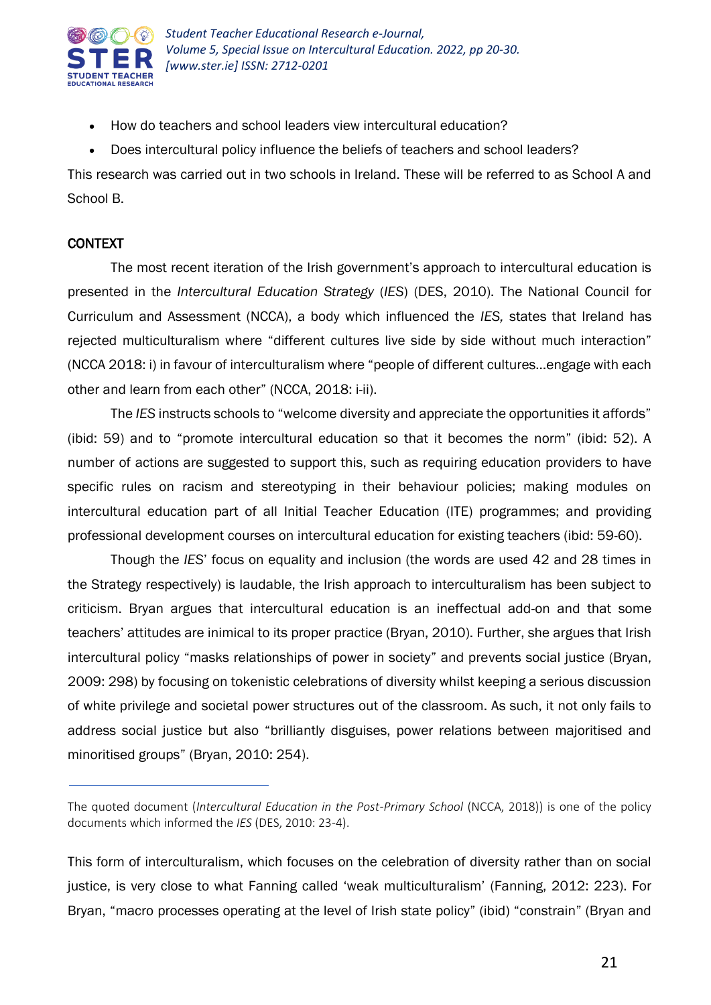

- How do teachers and school leaders view intercultural education?
- Does intercultural policy influence the beliefs of teachers and school leaders?

This research was carried out in two schools in Ireland. These will be referred to as School A and School B.

### CONTEXT

The most recent iteration of the Irish government's approach to intercultural education is presented in the *Intercultural Education Strategy* (*IES*) (DES, 2010). The National Council for Curriculum and Assessment (NCCA), a body which influenced the *IES,* states that Ireland has rejected multiculturalism where "different cultures live side by side without much interaction" (NCCA 2018: i) in favour of interculturalism where "people of different cultures…engage with each other and learn from each other" (NCCA, 2018: i-ii).

The *IES* instructs schools to "welcome diversity and appreciate the opportunities it affords" (ibid: 59) and to "promote intercultural education so that it becomes the norm" (ibid: 52). A number of actions are suggested to support this, such as requiring education providers to have specific rules on racism and stereotyping in their behaviour policies; making modules on intercultural education part of all Initial Teacher Education (ITE) programmes; and providing professional development courses on intercultural education for existing teachers (ibid: 59-60).

Though the *IES*' focus on equality and inclusion (the words are used 42 and 28 times in the Strategy respectively) is laudable, the Irish approach to interculturalism has been subject to criticism. Bryan argues that intercultural education is an ineffectual add-on and that some teachers' attitudes are inimical to its proper practice (Bryan, 2010). Further, she argues that Irish intercultural policy "masks relationships of power in society" and prevents social justice (Bryan, 2009: 298) by focusing on tokenistic celebrations of diversity whilst keeping a serious discussion of white privilege and societal power structures out of the classroom. As such, it not only fails to address social justice but also "brilliantly disguises, power relations between majoritised and minoritised groups" (Bryan, 2010: 254).

The quoted document (*Intercultural Education in the Post-Primary School* (NCCA, 2018)) is one of the policy documents which informed the *IES* (DES, 2010: 23-4).

This form of interculturalism, which focuses on the celebration of diversity rather than on social justice, is very close to what Fanning called 'weak multiculturalism' (Fanning, 2012: 223). For Bryan, "macro processes operating at the level of Irish state policy" (ibid) "constrain" (Bryan and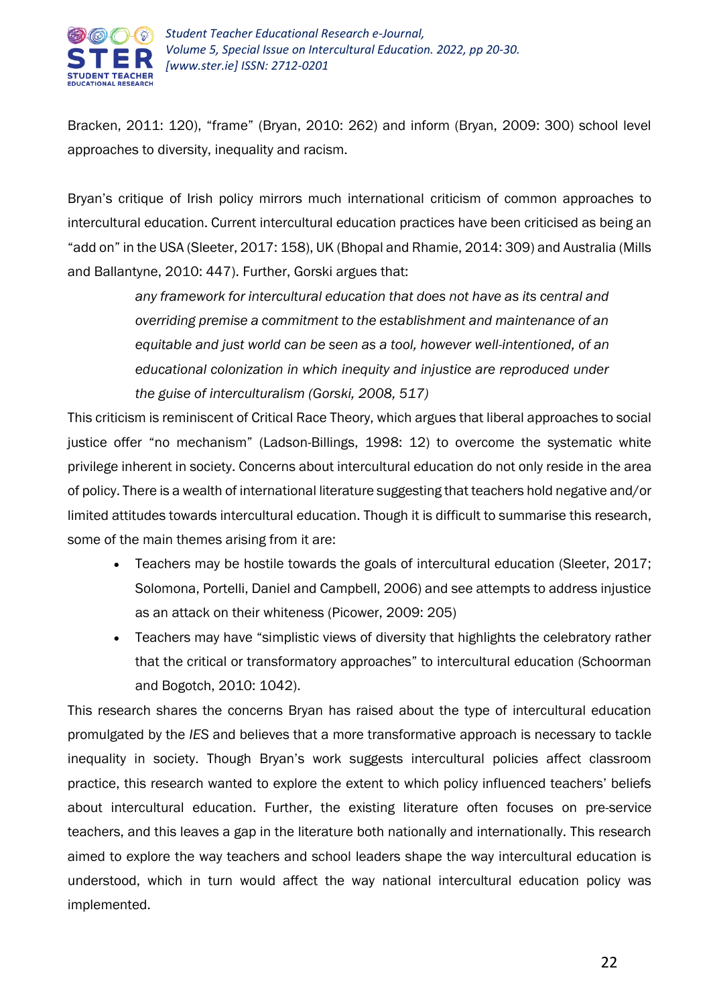

Bracken, 2011: 120), "frame" (Bryan, 2010: 262) and inform (Bryan, 2009: 300) school level approaches to diversity, inequality and racism.

Bryan's critique of Irish policy mirrors much international criticism of common approaches to intercultural education. Current intercultural education practices have been criticised as being an "add on" in the USA (Sleeter, 2017: 158), UK (Bhopal and Rhamie, 2014: 309) and Australia (Mills and Ballantyne, 2010: 447). Further, Gorski argues that:

> *any framework for intercultural education that does not have as its central and overriding premise a commitment to the establishment and maintenance of an equitable and just world can be seen as a tool, however well-intentioned, of an educational colonization in which inequity and injustice are reproduced under the guise of interculturalism (Gorski, 2008, 517)*

This criticism is reminiscent of Critical Race Theory, which argues that liberal approaches to social justice offer "no mechanism" (Ladson-Billings, 1998: 12) to overcome the systematic white privilege inherent in society. Concerns about intercultural education do not only reside in the area of policy. There is a wealth of international literature suggesting that teachers hold negative and/or limited attitudes towards intercultural education. Though it is difficult to summarise this research, some of the main themes arising from it are:

- Teachers may be hostile towards the goals of intercultural education (Sleeter, 2017; Solomona, Portelli, Daniel and Campbell, 2006) and see attempts to address injustice as an attack on their whiteness (Picower, 2009: 205)
- Teachers may have "simplistic views of diversity that highlights the celebratory rather that the critical or transformatory approaches" to intercultural education (Schoorman and Bogotch, 2010: 1042).

This research shares the concerns Bryan has raised about the type of intercultural education promulgated by the *IES* and believes that a more transformative approach is necessary to tackle inequality in society. Though Bryan's work suggests intercultural policies affect classroom practice, this research wanted to explore the extent to which policy influenced teachers' beliefs about intercultural education. Further, the existing literature often focuses on pre-service teachers, and this leaves a gap in the literature both nationally and internationally. This research aimed to explore the way teachers and school leaders shape the way intercultural education is understood, which in turn would affect the way national intercultural education policy was implemented.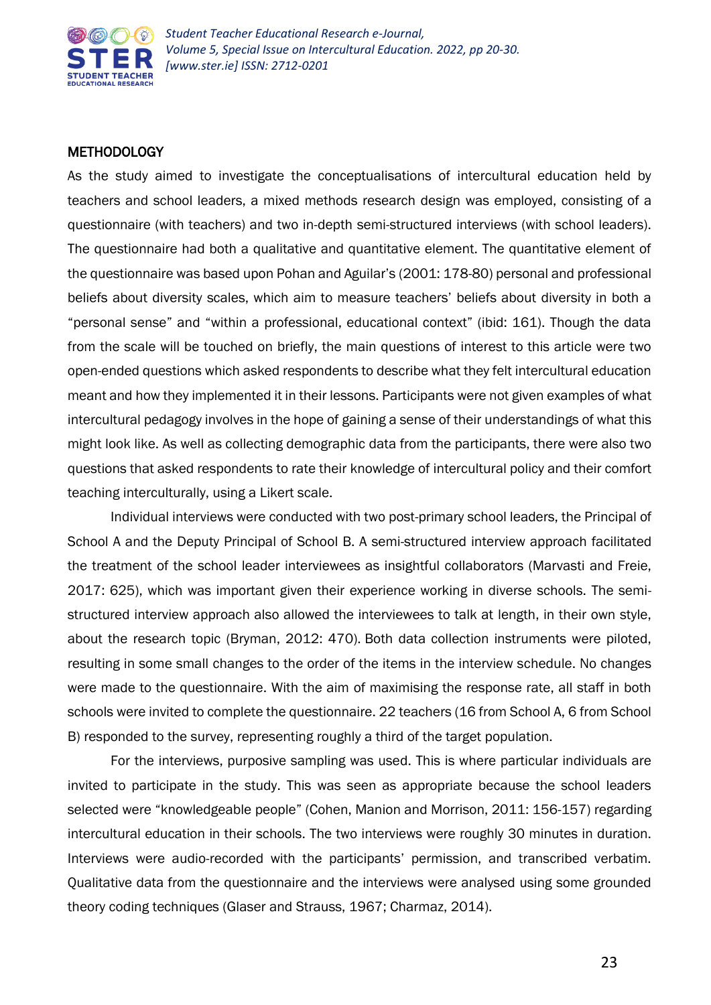

#### **METHODOLOGY**

As the study aimed to investigate the conceptualisations of intercultural education held by teachers and school leaders, a mixed methods research design was employed, consisting of a questionnaire (with teachers) and two in-depth semi-structured interviews (with school leaders). The questionnaire had both a qualitative and quantitative element. The quantitative element of the questionnaire was based upon Pohan and Aguilar's (2001: 178-80) personal and professional beliefs about diversity scales, which aim to measure teachers' beliefs about diversity in both a "personal sense" and "within a professional, educational context" (ibid: 161). Though the data from the scale will be touched on briefly, the main questions of interest to this article were two open-ended questions which asked respondents to describe what they felt intercultural education meant and how they implemented it in their lessons. Participants were not given examples of what intercultural pedagogy involves in the hope of gaining a sense of their understandings of what this might look like. As well as collecting demographic data from the participants, there were also two questions that asked respondents to rate their knowledge of intercultural policy and their comfort teaching interculturally, using a Likert scale.

Individual interviews were conducted with two post-primary school leaders, the Principal of School A and the Deputy Principal of School B. A semi-structured interview approach facilitated the treatment of the school leader interviewees as insightful collaborators (Marvasti and Freie, 2017: 625), which was important given their experience working in diverse schools. The semistructured interview approach also allowed the interviewees to talk at length, in their own style, about the research topic (Bryman, 2012: 470). Both data collection instruments were piloted, resulting in some small changes to the order of the items in the interview schedule. No changes were made to the questionnaire. With the aim of maximising the response rate, all staff in both schools were invited to complete the questionnaire. 22 teachers (16 from School A, 6 from School B) responded to the survey, representing roughly a third of the target population.

For the interviews, purposive sampling was used. This is where particular individuals are invited to participate in the study. This was seen as appropriate because the school leaders selected were "knowledgeable people" (Cohen, Manion and Morrison, 2011: 156-157) regarding intercultural education in their schools. The two interviews were roughly 30 minutes in duration. Interviews were audio-recorded with the participants' permission, and transcribed verbatim. Qualitative data from the questionnaire and the interviews were analysed using some grounded theory coding techniques (Glaser and Strauss, 1967; Charmaz, 2014).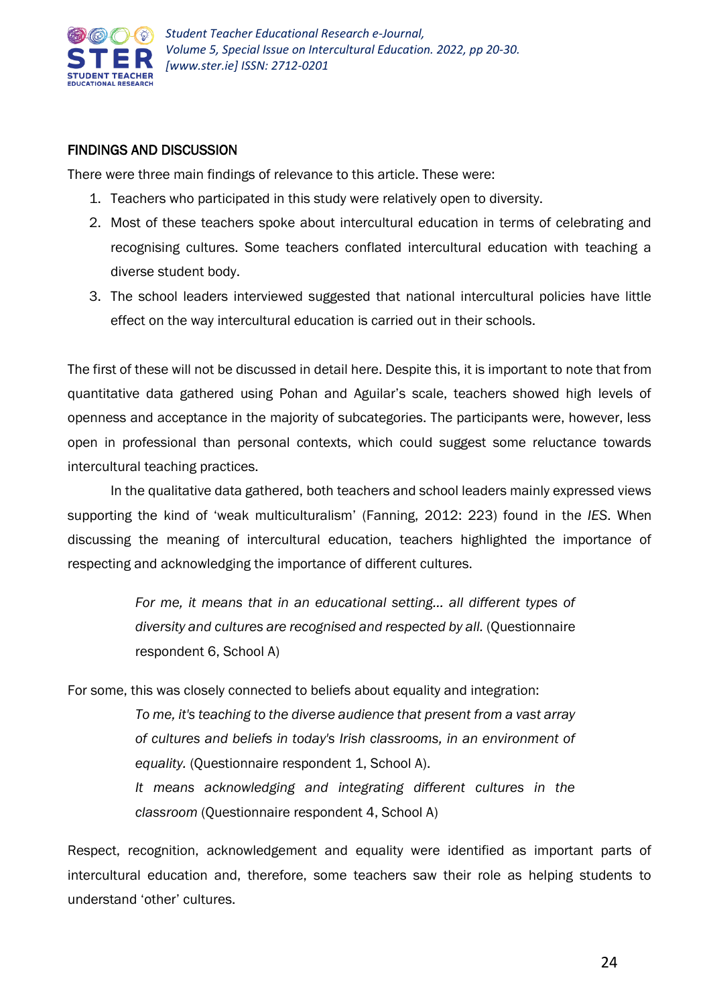

#### FINDINGS AND DISCUSSION

There were three main findings of relevance to this article. These were:

- 1. Teachers who participated in this study were relatively open to diversity.
- 2. Most of these teachers spoke about intercultural education in terms of celebrating and recognising cultures. Some teachers conflated intercultural education with teaching a diverse student body.
- 3. The school leaders interviewed suggested that national intercultural policies have little effect on the way intercultural education is carried out in their schools.

The first of these will not be discussed in detail here. Despite this, it is important to note that from quantitative data gathered using Pohan and Aguilar's scale, teachers showed high levels of openness and acceptance in the majority of subcategories. The participants were, however, less open in professional than personal contexts, which could suggest some reluctance towards intercultural teaching practices.

In the qualitative data gathered, both teachers and school leaders mainly expressed views supporting the kind of 'weak multiculturalism' (Fanning, 2012: 223) found in the *IES*. When discussing the meaning of intercultural education, teachers highlighted the importance of respecting and acknowledging the importance of different cultures.

> For me, it means that in an educational setting... all different types of *diversity and cultures are recognised and respected by all.* (Questionnaire respondent 6, School A)

For some, this was closely connected to beliefs about equality and integration:

*To me, it's teaching to the diverse audience that present from a vast array of cultures and beliefs in today's Irish classrooms, in an environment of*  equality. (Questionnaire respondent 1, School A).

*It means acknowledging and integrating different cultures in the classroom* (Questionnaire respondent 4, School A)

Respect, recognition, acknowledgement and equality were identified as important parts of intercultural education and, therefore, some teachers saw their role as helping students to understand 'other' cultures.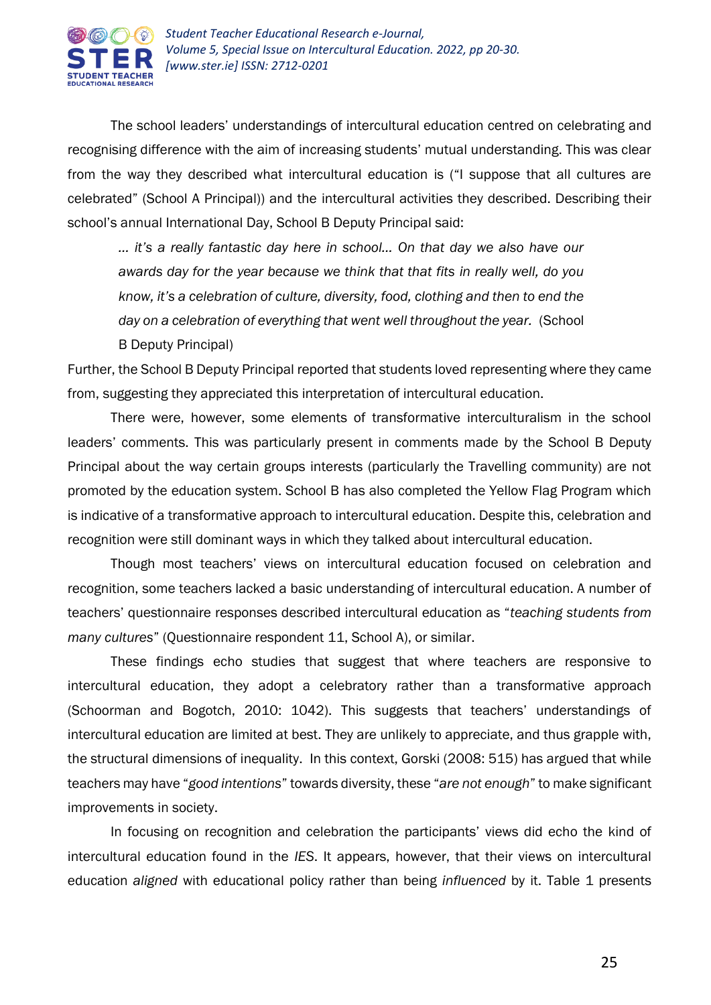

The school leaders' understandings of intercultural education centred on celebrating and recognising difference with the aim of increasing students' mutual understanding. This was clear from the way they described what intercultural education is ("I suppose that all cultures are celebrated" (School A Principal)) and the intercultural activities they described. Describing their school's annual International Day, School B Deputy Principal said:

*… it's a really fantastic day here in school… On that day we also have our awards day for the year because we think that that fits in really well, do you know, it's a celebration of culture, diversity, food, clothing and then to end the day on a celebration of everything that went well throughout the year.* (School

B Deputy Principal)

Further, the School B Deputy Principal reported that students loved representing where they came from, suggesting they appreciated this interpretation of intercultural education.

There were, however, some elements of transformative interculturalism in the school leaders' comments. This was particularly present in comments made by the School B Deputy Principal about the way certain groups interests (particularly the Travelling community) are not promoted by the education system. School B has also completed the Yellow Flag Program which is indicative of a transformative approach to intercultural education. Despite this, celebration and recognition were still dominant ways in which they talked about intercultural education.

Though most teachers' views on intercultural education focused on celebration and recognition, some teachers lacked a basic understanding of intercultural education. A number of teachers' questionnaire responses described intercultural education as "*teaching students from many cultures*" (Questionnaire respondent 11, School A), or similar.

These findings echo studies that suggest that where teachers are responsive to intercultural education, they adopt a celebratory rather than a transformative approach (Schoorman and Bogotch, 2010: 1042). This suggests that teachers' understandings of intercultural education are limited at best. They are unlikely to appreciate, and thus grapple with, the structural dimensions of inequality. In this context, Gorski (2008: 515) has argued that while teachers may have "*good intentions*" towards diversity, these "*are not enough*" to make significant improvements in society.

In focusing on recognition and celebration the participants' views did echo the kind of intercultural education found in the *IES*. It appears, however, that their views on intercultural education *aligned* with educational policy rather than being *influenced* by it. Table 1 presents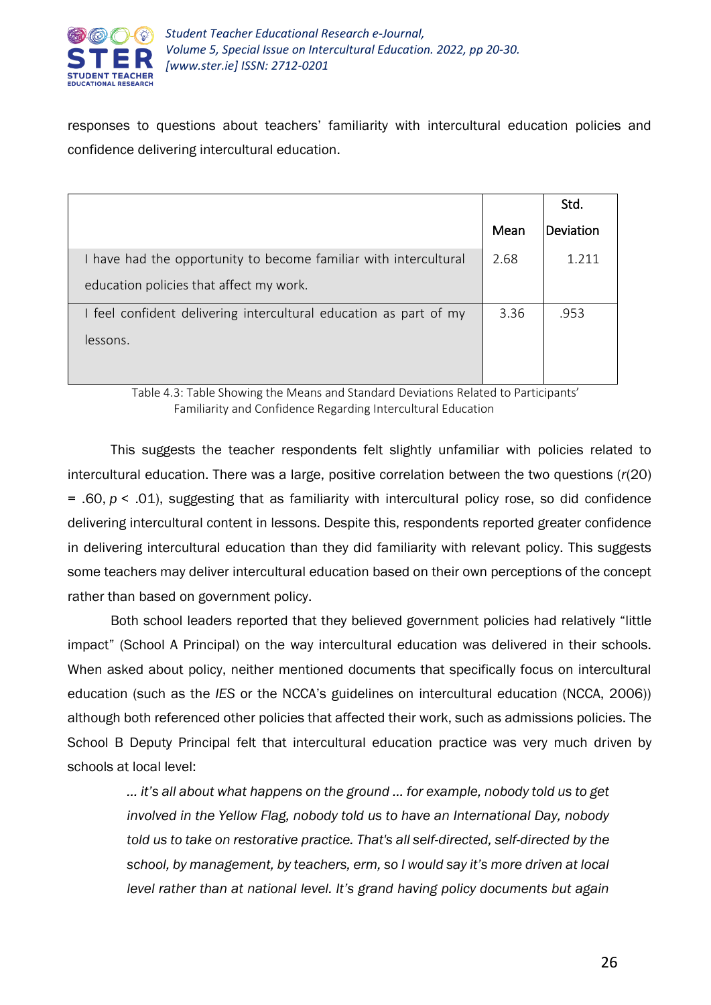

responses to questions about teachers' familiarity with intercultural education policies and confidence delivering intercultural education.

|                                                                   |      | Std.      |
|-------------------------------------------------------------------|------|-----------|
|                                                                   | Mean | Deviation |
| I have had the opportunity to become familiar with intercultural  | 2.68 | 1 2 1 1   |
| education policies that affect my work.                           |      |           |
| I feel confident delivering intercultural education as part of my | 3.36 | .953      |
| lessons.                                                          |      |           |
|                                                                   |      |           |

Table 4.3: Table Showing the Means and Standard Deviations Related to Participants' Familiarity and Confidence Regarding Intercultural Education

This suggests the teacher respondents felt slightly unfamiliar with policies related to intercultural education. There was a large, positive correlation between the two questions (*r*(20) = .60, *p* < .01), suggesting that as familiarity with intercultural policy rose, so did confidence delivering intercultural content in lessons. Despite this, respondents reported greater confidence in delivering intercultural education than they did familiarity with relevant policy. This suggests some teachers may deliver intercultural education based on their own perceptions of the concept rather than based on government policy.

Both school leaders reported that they believed government policies had relatively "little impact" (School A Principal) on the way intercultural education was delivered in their schools. When asked about policy, neither mentioned documents that specifically focus on intercultural education (such as the *IES* or the NCCA's guidelines on intercultural education (NCCA, 2006)) although both referenced other policies that affected their work, such as admissions policies. The School B Deputy Principal felt that intercultural education practice was very much driven by schools at local level:

*… it's all about what happens on the ground … for example, nobody told us to get involved in the Yellow Flag, nobody told us to have an International Day, nobody told us to take on restorative practice. That's all self-directed, self-directed by the school, by management, by teachers, erm, so I would say it's more driven at local level rather than at national level. It's grand having policy documents but again*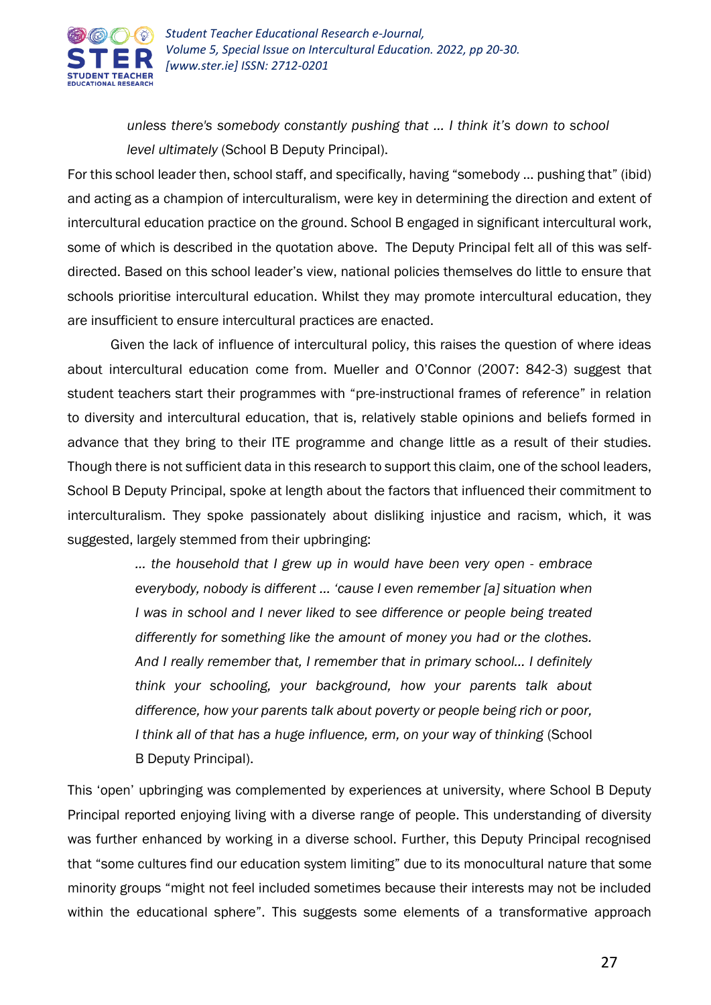

*unless there's somebody constantly pushing that … I think it's down to school level ultimately* (School B Deputy Principal).

For this school leader then, school staff, and specifically, having "somebody … pushing that" (ibid) and acting as a champion of interculturalism, were key in determining the direction and extent of intercultural education practice on the ground. School B engaged in significant intercultural work, some of which is described in the quotation above. The Deputy Principal felt all of this was selfdirected. Based on this school leader's view, national policies themselves do little to ensure that schools prioritise intercultural education. Whilst they may promote intercultural education, they are insufficient to ensure intercultural practices are enacted.

Given the lack of influence of intercultural policy, this raises the question of where ideas about intercultural education come from. Mueller and O'Connor (2007: 842-3) suggest that student teachers start their programmes with "pre-instructional frames of reference" in relation to diversity and intercultural education, that is, relatively stable opinions and beliefs formed in advance that they bring to their ITE programme and change little as a result of their studies. Though there is not sufficient data in this research to support this claim, one of the school leaders, School B Deputy Principal, spoke at length about the factors that influenced their commitment to interculturalism. They spoke passionately about disliking injustice and racism, which, it was suggested, largely stemmed from their upbringing:

> *… the household that I grew up in would have been very open - embrace everybody, nobody is different … 'cause I even remember [a] situation when I* was in school and *I* never liked to see difference or people being treated *differently for something like the amount of money you had or the clothes. And I really remember that, I remember that in primary school… I definitely think your schooling, your background, how your parents talk about difference, how your parents talk about poverty or people being rich or poor, I think all of that has a huge influence, erm, on your way of thinking* (School B Deputy Principal).

This 'open' upbringing was complemented by experiences at university, where School B Deputy Principal reported enjoying living with a diverse range of people. This understanding of diversity was further enhanced by working in a diverse school. Further, this Deputy Principal recognised that "some cultures find our education system limiting" due to its monocultural nature that some minority groups "might not feel included sometimes because their interests may not be included within the educational sphere". This suggests some elements of a transformative approach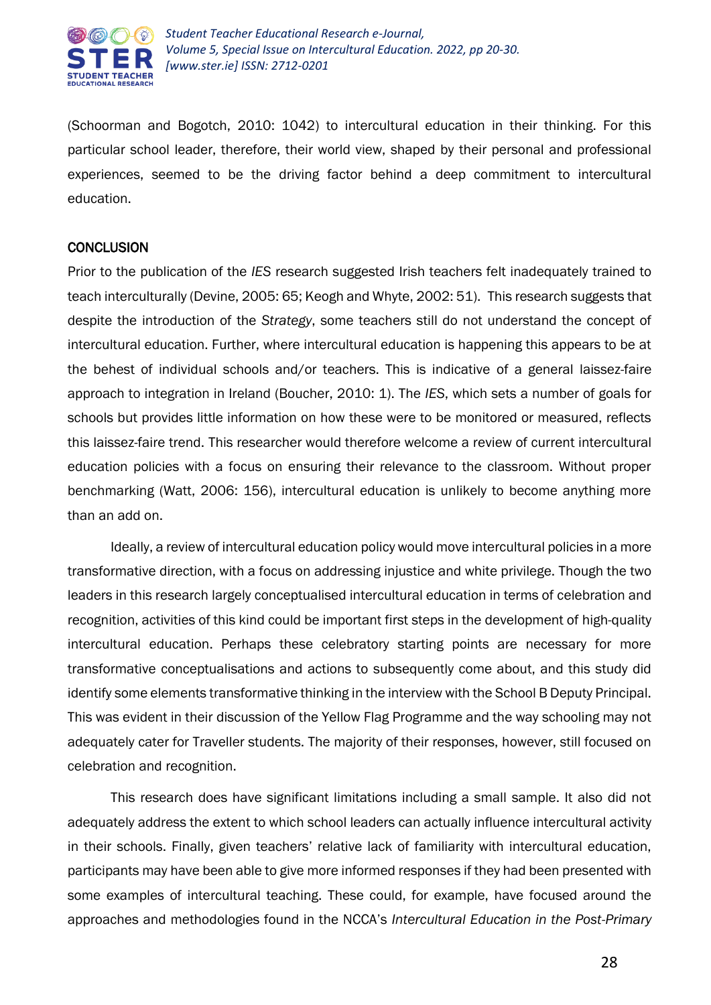

(Schoorman and Bogotch, 2010: 1042) to intercultural education in their thinking. For this particular school leader, therefore, their world view, shaped by their personal and professional experiences, seemed to be the driving factor behind a deep commitment to intercultural education.

#### **CONCLUSION**

Prior to the publication of the *IES* research suggested Irish teachers felt inadequately trained to teach interculturally (Devine, 2005: 65; Keogh and Whyte, 2002: 51). This research suggests that despite the introduction of the *Strategy*, some teachers still do not understand the concept of intercultural education. Further, where intercultural education is happening this appears to be at the behest of individual schools and/or teachers. This is indicative of a general laissez-faire approach to integration in Ireland (Boucher, 2010: 1). The *IES*, which sets a number of goals for schools but provides little information on how these were to be monitored or measured, reflects this laissez-faire trend. This researcher would therefore welcome a review of current intercultural education policies with a focus on ensuring their relevance to the classroom. Without proper benchmarking (Watt, 2006: 156), intercultural education is unlikely to become anything more than an add on.

Ideally, a review of intercultural education policy would move intercultural policies in a more transformative direction, with a focus on addressing injustice and white privilege. Though the two leaders in this research largely conceptualised intercultural education in terms of celebration and recognition, activities of this kind could be important first steps in the development of high-quality intercultural education. Perhaps these celebratory starting points are necessary for more transformative conceptualisations and actions to subsequently come about, and this study did identify some elements transformative thinking in the interview with the School B Deputy Principal. This was evident in their discussion of the Yellow Flag Programme and the way schooling may not adequately cater for Traveller students. The majority of their responses, however, still focused on celebration and recognition.

This research does have significant limitations including a small sample. It also did not adequately address the extent to which school leaders can actually influence intercultural activity in their schools. Finally, given teachers' relative lack of familiarity with intercultural education, participants may have been able to give more informed responses if they had been presented with some examples of intercultural teaching. These could, for example, have focused around the approaches and methodologies found in the NCCA's *Intercultural Education in the Post-Primary*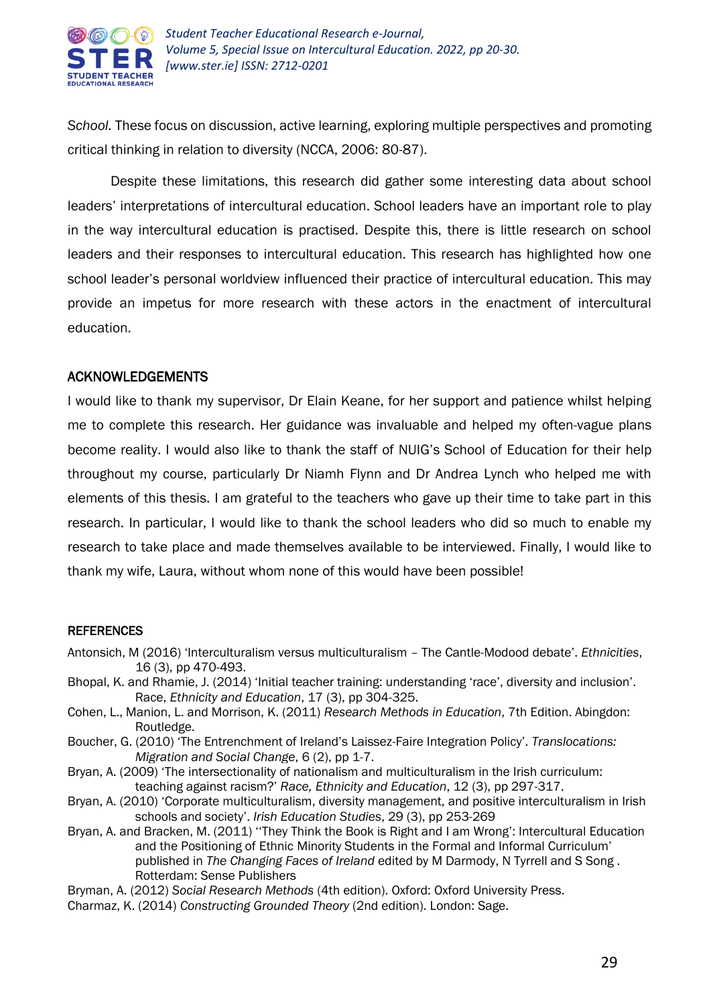

*School.* These focus on discussion, active learning, exploring multiple perspectives and promoting critical thinking in relation to diversity (NCCA, 2006: 80-87).

Despite these limitations, this research did gather some interesting data about school leaders' interpretations of intercultural education. School leaders have an important role to play in the way intercultural education is practised. Despite this, there is little research on school leaders and their responses to intercultural education. This research has highlighted how one school leader's personal worldview influenced their practice of intercultural education. This may provide an impetus for more research with these actors in the enactment of intercultural education.

#### ACKNOWLEDGEMENTS

I would like to thank my supervisor, Dr Elain Keane, for her support and patience whilst helping me to complete this research. Her guidance was invaluable and helped my often-vague plans become reality. I would also like to thank the staff of NUIG's School of Education for their help throughout my course, particularly Dr Niamh Flynn and Dr Andrea Lynch who helped me with elements of this thesis. I am grateful to the teachers who gave up their time to take part in this research. In particular, I would like to thank the school leaders who did so much to enable my research to take place and made themselves available to be interviewed. Finally, I would like to thank my wife, Laura, without whom none of this would have been possible!

#### **REFERENCES**

- Antonsich, M (2016) 'Interculturalism versus multiculturalism The Cantle-Modood debate'. *Ethnicities*, 16 (3), pp 470-493.
- Bhopal, K. and Rhamie, J. (2014) 'Initial teacher training: understanding 'race', diversity and inclusion'. Race, *Ethnicity and Education*, 17 (3), pp 304-325.
- Cohen, L., Manion, L. and Morrison, K. (2011) *Research Methods in Education*, 7th Edition. Abingdon: Routledge.
- Boucher, G. (2010) 'The Entrenchment of Ireland's Laissez-Faire Integration Policy'. *Translocations: Migration and Social Change*, 6 (2), pp 1-7.
- Bryan, A. (2009) 'The intersectionality of nationalism and multiculturalism in the Irish curriculum: teaching against racism?' *Race, Ethnicity and Education*, 12 (3), pp 297-317.
- Bryan, A. (2010) 'Corporate multiculturalism, diversity management, and positive interculturalism in Irish schools and society'. *Irish Education Studies*, 29 (3), pp 253-269
- Bryan, A. and Bracken, M. (2011) ''They Think the Book is Right and I am Wrong': Intercultural Education and the Positioning of Ethnic Minority Students in the Formal and Informal Curriculum' published in *The Changing Faces of Ireland* edited by M Darmody, N Tyrrell and S Song . Rotterdam: Sense Publishers
- Bryman, A. (2012) *Social Research Methods* (4th edition). Oxford: Oxford University Press.
- Charmaz, K. (2014) *Constructing Grounded Theory* (2nd edition). London: Sage.